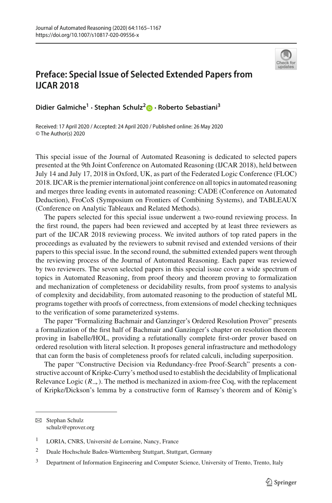

## **Preface: Special Issue of Selected Extended Papers from IJCAR 2018**

**Didier Galmiche<sup>1</sup> · Stephan Schulz[2](http://orcid.org/0000-0001-6262-8555) · Roberto Sebastiani<sup>3</sup>**

Received: 17 April 2020 / Accepted: 24 April 2020 / Published online: 26 May 2020 © The Author(s) 2020

This special issue of the Journal of Automated Reasoning is dedicated to selected papers presented at the 9th Joint Conference on Automated Reasoning (IJCAR 2018), held between July 14 and July 17, 2018 in Oxford, UK, as part of the Federated Logic Conference (FLOC) 2018. IJCAR is the premier international joint conference on all topics in automated reasoning and merges three leading events in automated reasoning: CADE (Conference on Automated Deduction), FroCoS (Symposium on Frontiers of Combining Systems), and TABLEAUX (Conference on Analytic Tableaux and Related Methods).

The papers selected for this special issue underwent a two-round reviewing process. In the first round, the papers had been reviewed and accepted by at least three reviewers as part of the IJCAR 2018 reviewing process. We invited authors of top rated papers in the proceedings as evaluated by the reviewers to submit revised and extended versions of their papers to this special issue. In the second round, the submitted extended papers went through the reviewing process of the Journal of Automated Reasoning. Each paper was reviewed by two reviewers. The seven selected papers in this special issue cover a wide spectrum of topics in Automated Reasoning, from proof theory and theorem proving to formalization and mechanization of completeness or decidability results, from proof systems to analysis of complexity and decidability, from automated reasoning to the production of stateful ML programs together with proofs of correctness, from extensions of model checking techniques to the verification of some parameterized systems.

The paper "Formalizing Bachmair and Ganzinger's Ordered Resolution Prover" presents a formalization of the first half of Bachmair and Ganzinger's chapter on resolution theorem proving in Isabelle/HOL, providing a refutationally complete first-order prover based on ordered resolution with literal selection. It proposes general infrastructure and methodology that can form the basis of completeness proofs for related calculi, including superposition.

The paper "Constructive Decision via Redundancy-free Proof-Search" presents a constructive account of Kripke-Curry's method used to establish the decidability of Implicational Relevance Logic  $(R_{\rightarrow})$ . The method is mechanized in axiom-free Coq, with the replacement of Kripke/Dickson's lemma by a constructive form of Ramsey's theorem and of König's

B Stephan Schulz schulz@eprover.org

<sup>&</sup>lt;sup>1</sup> LORIA, CNRS, Université de Lorraine, Nancy, France

<sup>2</sup> Duale Hochschule Baden-Württemberg Stuttgart, Stuttgart, Germany

<sup>&</sup>lt;sup>3</sup> Department of Information Engineering and Computer Science, University of Trento, Trento, Italy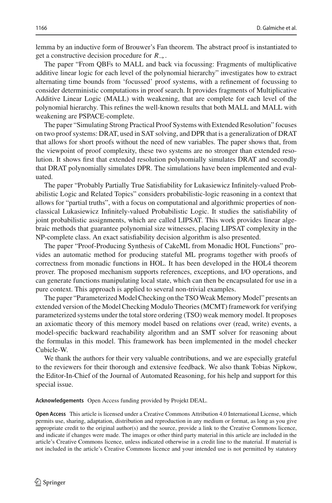lemma by an inductive form of Brouwer's Fan theorem. The abstract proof is instantiated to get a constructive decision procedure for *R*→.

The paper "From QBFs to MALL and back via focussing: Fragments of multiplicative additive linear logic for each level of the polynomial hierarchy" investigates how to extract alternating time bounds from 'focussed' proof systems, with a refinement of focussing to consider deterministic computations in proof search. It provides fragments of Multiplicative Additive Linear Logic (MALL) with weakening, that are complete for each level of the polynomial hierarchy. This refines the well-known results that both MALL and MALL with weakening are PSPACE-complete.

The paper "Simulating Strong Practical Proof Systems with Extended Resolution" focuses on two proof systems: DRAT, used in SAT solving, and DPR that is a generalization of DRAT that allows for short proofs without the need of new variables. The paper shows that, from the viewpoint of proof complexity, these two systems are no stronger than extended resolution. It shows first that extended resolution polynomially simulates DRAT and secondly that DRAT polynomially simulates DPR. The simulations have been implemented and evaluated.

The paper "Probably Partially True Satisfiability for Lukasiewicz Infinitely-valued Probabilistic Logic and Related Topics" considers probabilistic-logic reasoning in a context that allows for "partial truths", with a focus on computational and algorithmic properties of nonclassical Lukasiewicz Infinitely-valued Probabilistic Logic. It studies the satisfiability of joint probabilistic assignments, which are called LIPSAT. This work provides linear algebraic methods that guarantee polynomial size witnesses, placing LIPSAT complexity in the NP-complete class. An exact satisfiability decision algorithm is also presented.

The paper "Proof-Producing Synthesis of CakeML from Monadic HOL Functions" provides an automatic method for producing stateful ML programs together with proofs of correctness from monadic functions in HOL. It has been developed in the HOL4 theorem prover. The proposed mechanism supports references, exceptions, and I/O operations, and can generate functions manipulating local state, which can then be encapsulated for use in a pure context. This approach is applied to several non-trivial examples.

The paper "Parameterized Model Checking on the TSOWeak Memory Model" presents an extended version of the Model Checking Modulo Theories (MCMT) framework for verifying parameterized systems under the total store ordering (TSO) weak memory model. It proposes an axiomatic theory of this memory model based on relations over (read, write) events, a model-specific backward reachability algorithm and an SMT solver for reasoning about the formulas in this model. This framework has been implemented in the model checker Cubicle-W.

We thank the authors for their very valuable contributions, and we are especially grateful to the reviewers for their thorough and extensive feedback. We also thank Tobias Nipkow, the Editor-In-Chief of the Journal of Automated Reasoning, for his help and support for this special issue.

**Acknowledgements** Open Access funding provided by Projekt DEAL.

**Open Access** This article is licensed under a Creative Commons Attribution 4.0 International License, which permits use, sharing, adaptation, distribution and reproduction in any medium or format, as long as you give appropriate credit to the original author(s) and the source, provide a link to the Creative Commons licence, and indicate if changes were made. The images or other third party material in this article are included in the article's Creative Commons licence, unless indicated otherwise in a credit line to the material. If material is not included in the article's Creative Commons licence and your intended use is not permitted by statutory